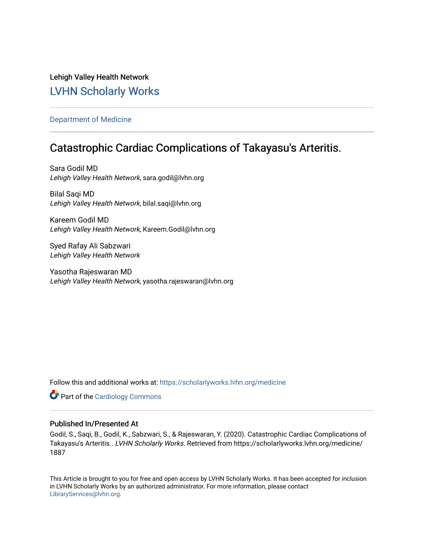# Lehigh Valley Health Network [LVHN Scholarly Works](https://scholarlyworks.lvhn.org/)

## [Department of Medicine](https://scholarlyworks.lvhn.org/medicine)

# Catastrophic Cardiac Complications of Takayasu's Arteritis.

Sara Godil MD Lehigh Valley Health Network, sara.godil@lvhn.org

Bilal Saqi MD Lehigh Valley Health Network, bilal.saqi@lvhn.org

Kareem Godil MD Lehigh Valley Health Network, Kareem.Godil@lvhn.org

Syed Rafay Ali Sabzwari Lehigh Valley Health Network

Yasotha Rajeswaran MD Lehigh Valley Health Network, yasotha.rajeswaran@lvhn.org

Follow this and additional works at: [https://scholarlyworks.lvhn.org/medicine](https://scholarlyworks.lvhn.org/medicine?utm_source=scholarlyworks.lvhn.org%2Fmedicine%2F1887&utm_medium=PDF&utm_campaign=PDFCoverPages) 

**Part of the [Cardiology Commons](https://network.bepress.com/hgg/discipline/683?utm_source=scholarlyworks.lvhn.org%2Fmedicine%2F1887&utm_medium=PDF&utm_campaign=PDFCoverPages)** 

### Published In/Presented At

Godil, S., Saqi, B., Godil, K., Sabzwari, S., & Rajeswaran, Y. (2020). Catastrophic Cardiac Complications of Takayasu's Arteritis.. LVHN Scholarly Works. Retrieved from https://scholarlyworks.lvhn.org/medicine/ 1887

This Article is brought to you for free and open access by LVHN Scholarly Works. It has been accepted for inclusion in LVHN Scholarly Works by an authorized administrator. For more information, please contact [LibraryServices@lvhn.org](mailto:LibraryServices@lvhn.org).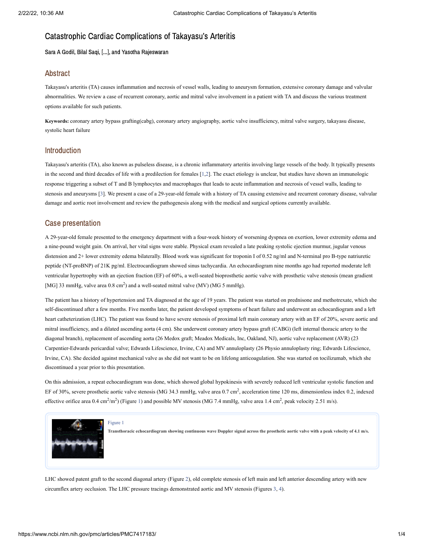# Catastrophic Cardiac Complications of Takayasu's Arteritis

Sara A Godil, Bilal Saqi, [...], and Yasotha Rajeswaran

### Abstract

Takayasu's arteritis (TA) causes inflammation and necrosis of vessel walls, leading to aneurysm formation, extensive coronary damage and valvular abnormalities. We review a case of recurrent coronary, aortic and mitral valve involvement in a patient with TA and discuss the various treatment options available for such patients.

**Keywords:** coronary artery bypass grafting(cabg), coronary artery angiography, aortic valve insufficiency, mitral valve surgery, takayasu disease, systolic heart failure

### Introduction

Takayasu's arteritis (TA), also known as pulseless disease, is a chronic inflammatory arteritis involving large vessels of the body. It typically presents in the second and third decades of life with a predilection for females [[1](#page-3-0),[2](#page-4-0)]. The exact etiology is unclear, but studies have shown an immunologic response triggering a subset of T and B lymphocytes and macrophages that leads to acute inflammation and necrosis of vessel walls, leading to stenosis and aneurysms [\[3\]](#page-4-1). We present a case of a 29-year-old female with a history of TA causing extensive and recurrent coronary disease, valvular damage and aortic root involvement and review the pathogenesis along with the medical and surgical options currently available.

### Case presentation

A 29-year-old female presented to the emergency department with a four-week history of worsening dyspnea on exertion, lower extremity edema and a nine-pound weight gain. On arrival, her vital signs were stable. Physical exam revealed a late peaking systolic ejection murmur, jugular venous distension and 2+ lower extremity edema bilaterally. Blood work was significant for troponin I of 0.52 ng/ml and N-terminal pro B-type natriuretic peptide (NT-proBNP) of 21K pg/ml. Electrocardiogram showed sinus tachycardia. An echocardiogram nine months ago had reported moderate left ventricular hypertrophy with an ejection fraction (EF) of 60%, a well-seated bioprosthetic aortic valve with prosthetic valve stenosis (mean gradient [MG] 33 mmHg, valve area  $0.8 \text{ cm}^2$ ) and a well-seated mitral valve (MV) (MG 5 mmHg).

The patient has a history of hypertension and TA diagnosed at the age of 19 years. The patient was started on prednisone and methotrexate, which she self-discontinued after a few months. Five months later, the patient developed symptoms of heart failure and underwent an echocardiogram and a left heart catheterization (LHC). The patient was found to have severe stenosis of proximal left main coronary artery with an EF of 20%, severe aortic and mitral insufficiency, and a dilated ascending aorta (4 cm). She underwent coronary artery bypass graft (CABG) (left internal thoracic artery to the diagonal branch), replacement of ascending aorta (26 Medox graft; Meadox Medicals, Inc, Oakland, NJ), aortic valve replacement (AVR) (23 Carpentier-Edwards pericardial valve; Edwards Lifescience, Irvine, CA) and MV annuloplasty (26 Physio annuloplasty ring; Edwards Lifescience, Irvine, CA). She decided against mechanical valve as she did not want to be on lifelong anticoagulation. She was started on tocilizumab, which she discontinued a year prior to this presentation.

On this admission, a repeat echocardiogram was done, which showed global hypokinesis with severely reduced left ventricular systolic function and EF of 30%, severe prosthetic aortic valve stenosis (MG 34.3 mmHg, valve area 0.7 cm<sup>2</sup>, acceleration time 120 ms, dimensionless index 0.2, indexed effective orifice area 0.4 cm<sup>2</sup>/m<sup>2</sup>) [\(Figure](https://www.ncbi.nlm.nih.gov/pmc/articles/PMC7417183/figure/FIG1/?report=objectonly) 1) and possible MV stenosis (MG 7.4 mmHg, valve area 1.4 cm<sup>2</sup>, peak velocity 2.51 m/s).



[Figure](https://www.ncbi.nlm.nih.gov/pmc/articles/PMC7417183/figure/FIG1/?report=objectonly) 1

Transthoracic echocardiogram showing continuous wave Doppler signal across the prosthetic aortic valve with a peak velocity of 4.1 m/s.

LHC showed patent graft to the second diagonal artery [\(Figure](https://www.ncbi.nlm.nih.gov/pmc/articles/PMC7417183/figure/FIG2/?report=objectonly) 2), old complete stenosis of left main and left anterior descending artery with new circumflex artery occlusion. The LHC pressure tracings demonstrated aortic and MV stenosis [\(Figures](https://www.ncbi.nlm.nih.gov/pmc/articles/PMC7417183/figure/FIG3/?report=objectonly) 3, [4\)](https://www.ncbi.nlm.nih.gov/pmc/articles/PMC7417183/figure/FIG4/?report=objectonly).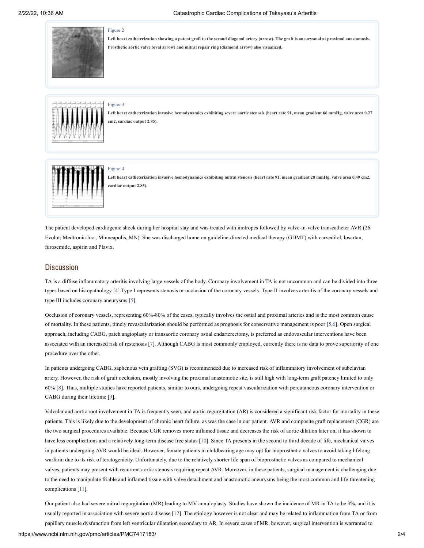

#### [Figure](https://www.ncbi.nlm.nih.gov/pmc/articles/PMC7417183/figure/FIG2/?report=objectonly) 2

Left heart catheterization showing a patent graft to the second diagonal artery (arrow). The graft is aneurysmal at proximal anastomosis. **Prosthetic aortic valve (oval arrow) and mitral repair ring (diamond arrow) also visualized.**



#### [Figure](https://www.ncbi.nlm.nih.gov/pmc/articles/PMC7417183/figure/FIG3/?report=objectonly) 3

Left heart catheterization invasive hemodynamics exhibiting severe aortic stenosis (heart rate 91, mean gradient 66 mmHg, valve area 0.27 **cm2, cardiac output 2.85).**



Left heart catheterization invasive hemodynamics exhibiting mitral stenosis (heart rate 91, mean gradient 28 mmHg, valve area 0.49 cm2, **cardiac output 2.85).**

The patient developed cardiogenic shock during her hospital stay and was treated with inotropes followed by valve-in-valve transcatheter AVR (26 Evolut; Medtronic Inc., Minneapolis, MN). She was discharged home on guideline-directed medical therapy (GDMT) with carvedilol, losartan, furosemide, aspirin and Plavix.

### **Discussion**

TA is a diffuse inflammatory arteritis involving large vessels of the body. Coronary involvement in TA is not uncommon and can be divided into three types based on histopathology [\[4](#page-4-2)].Type I represents stenosis or occlusion of the coronary vessels. Type II involves arteritis of the coronary vessels and type III includes coronary aneurysms [[5](#page-4-3)].

Occlusion of coronary vessels, representing 60%-80% of the cases, typically involves the ostial and proximal arteries and is the most common cause of mortality. In these patients, timely revascularization should be performed as prognosis for conservative management is poor [\[5](#page-4-3)[,6](#page-4-4)]. Open surgical approach, including CABG, patch angioplasty or transaortic coronary ostial endarterectomy, is preferred as endovascular interventions have been associated with an increased risk of restenosis [\[7\]](#page-4-5). Although CABG is most commonly employed, currently there is no data to prove superiority of one procedure over the other.

In patients undergoing CABG, saphenous vein grafting (SVG) is recommended due to increased risk of inflammatory involvement of subclavian artery. However, the risk of graft occlusion, mostly involving the proximal anastomotic site, is still high with long-term graft patency limited to only 60% [\[8](#page-4-6)]. Thus, multiple studies have reported patients, similar to ours, undergoing repeat vascularization with percutaneous coronary intervention or CABG during their lifetime [\[9](#page-4-7)].

Valvular and aortic root involvement in TA is frequently seen, and aortic regurgitation (AR) is considered a significant risk factor for mortality in these patients. This is likely due to the development of chronic heart failure, as was the case in our patient. AVR and composite graft replacement (CGR) are the two surgical procedures available. Because CGR removes more inflamed tissue and decreases the risk of aortic dilation later on, it has shown to have less complications and a relatively long-term disease free status [\[10](#page-4-8)]. Since TA presents in the second to third decade of life, mechanical valves in patients undergoing AVR would be ideal. However, female patients in childbearing age may opt for bioprosthetic valves to avoid taking lifelong warfarin due to its risk of teratogenicity. Unfortunately, due to the relatively shorter life span of bioprosthetic valves as compared to mechanical valves, patients may present with recurrent aortic stenosis requiring repeat AVR. Moreover, in these patients, surgical management is challenging due to the need to manipulate friable and inflamed tissue with valve detachment and anastomotic aneurysms being the most common and life-threatening complications [\[11](#page-4-9)].

Our patient also had severe mitral regurgitation (MR) leading to MV annuloplasty. Studies have shown the incidence of MR in TA to be 3%, and it is usually reported in association with severe aortic disease [\[12](#page-4-10)]. The etiology however is not clear and may be related to inflammation from TA or from papillary muscle dysfunction from left ventricular dilatation secondary to AR. In severe cases of MR, however, surgical intervention is warranted to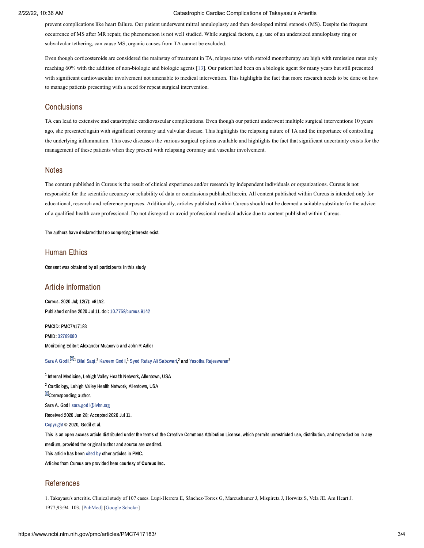### 2/22/22, 10:36 AM Catastrophic Cardiac Complications of Takayasu's Arteritis

prevent complications like heart failure. Our patient underwent mitral annuloplasty and then developed mitral stenosis (MS). Despite the frequent occurrence of MS after MR repair, the phenomenon is not well studied. While surgical factors, e.g. use of an undersized annuloplasty ring or subvalvular tethering, can cause MS, organic causes from TA cannot be excluded.

Even though corticosteroids are considered the mainstay of treatment in TA, relapse rates with steroid monotherapy are high with remission rates only reaching 60% with the addition of non-biologic and biologic agents [[13\]](#page-4-11). Our patient had been on a biologic agent for many years but still presented with significant cardiovascular involvement not amenable to medical intervention. This highlights the fact that more research needs to be done on how to manage patients presenting with a need for repeat surgical intervention.

### **Conclusions**

TA can lead to extensive and catastrophic cardiovascular complications. Even though our patient underwent multiple surgical interventions 10 years ago, she presented again with significant coronary and valvular disease. This highlights the relapsing nature of TA and the importance of controlling the underlying inflammation. This case discusses the various surgical options available and highlights the fact that significant uncertainty exists for the management of these patients when they present with relapsing coronary and vascular involvement.

### **Notes**

The content published in Cureus is the result of clinical experience and/or research by independent individuals or organizations. Cureus is not responsible for the scientific accuracy or reliability of data or conclusions published herein. All content published within Cureus is intended only for educational, research and reference purposes. Additionally, articles published within Cureus should not be deemed a suitable substitute for the advice of a qualified health care professional. Do not disregard or avoid professional medical advice due to content published within Cureus.

The authors have declared that no competing interests exist.

### Human Ethics

Consent was obtained by all participants in this study

### Article information

Cureus. 2020 Jul; 12(7): e9142. Published online 2020 Jul 11. doi: [10.7759/cureus.9142](https://dx.doi.org/10.7759%2Fcureus.9142)

PMCID: PMC7417183 PMID: [32789080](https://www.ncbi.nlm.nih.gov/pubmed/32789080) Monitoring Editor: Alexander Muacevic and John R Adler

Sara A [Godil](https://www.ncbi.nlm.nih.gov/pubmed/?term=Godil%20SA%5BAuthor%5D&cauthor=true&cauthor_uid=32789080) $^{\boxtimes 1}$  Bilal [Saqi,](https://www.ncbi.nlm.nih.gov/pubmed/?term=Saqi%20B%5BAuthor%5D&cauthor=true&cauthor_uid=32789080) $^2$  [Kareem](https://www.ncbi.nlm.nih.gov/pubmed/?term=Godil%20K%5BAuthor%5D&cauthor=true&cauthor_uid=32789080) Godil, $^1$  Sved Rafav Ali [Sabzwari,](https://www.ncbi.nlm.nih.gov/pubmed/?term=Sabzwari%20SR%5BAuthor%5D&cauthor=true&cauthor_uid=32789080) $^2$  and Yasotha [Rajeswaran](https://www.ncbi.nlm.nih.gov/pubmed/?term=Rajeswaran%20Y%5BAuthor%5D&cauthor=true&cauthor_uid=32789080) $^2$ 

 $^{\rm 1}$  Internal Medicine, Lehigh Valley Health Network, Allentown, USA <sup>2</sup> Cardiology, Lehigh Valley Health Network, Allentown, USA **M**Corresponding author. Sara A. Godil [sara.godil@lvhn.org](mailto:dev@null) Received 2020 Jun 28; Accepted 2020 Jul 11. [Copyright](https://www.ncbi.nlm.nih.gov/pmc/about/copyright/) © 2020, Godil et al. This is an open access article distributed under the terms of the Creative Commons Attribution License, which permits unrestricted use, distribution, and reproduction in any medium, provided the original author and source are credited. This article has been [cited](https://www.ncbi.nlm.nih.gov/pmc/articles/PMC7417183/citedby/) by other articles in PMC. Articles from Cureus are provided here courtesy of Cureus Inc.

## References

<span id="page-3-0"></span>1. Takayasu's arteritis. Clinical study of 107 cases. Lupi-Herrera E, Sánchez-Torres G, Marcushamer J, Mispireta J, Horwitz S, Vela JE. Am Heart J. 1977;93:94–103. [\[PubMed\]](https://www.ncbi.nlm.nih.gov/pubmed/12655) [[Google Scholar](https://scholar.google.com/scholar_lookup?journal=Am+Heart+J&title=Takayasu%27s+arteritis.+Clinical+study+of+107+cases&volume=93&publication_year=1977&pages=94-103&pmid=12655&)]